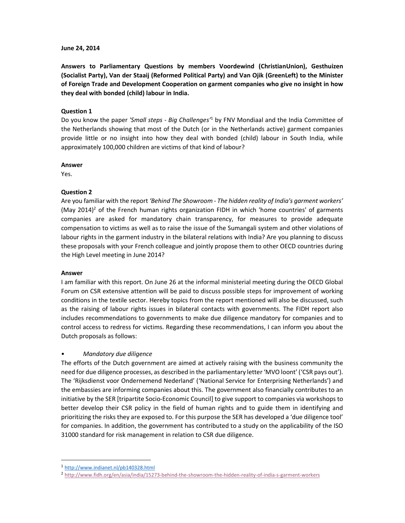#### **June 24, 2014**

**Answers to Parliamentary Questions by members Voordewind (ChristianUnion), Gesthuizen (Socialist Party), Van der Staaij (Reformed Political Party) and Van Ojik (GreenLeft) to the Minister of Foreign Trade and Development Cooperation on garment companies who give no insight in how they deal with bonded (child) labour in India.** 

#### **Question 1**

Do you know the paper *'Small steps - Big Challenges'*<sup>1</sup> by FNV Mondiaal and the India Committee of the Netherlands showing that most of the Dutch (or in the Netherlands active) garment companies provide little or no insight into how they deal with bonded (child) labour in South India, while approximately 100,000 children are victims of that kind of labour?

#### **Answer**

Yes.

## **Question 2**

Are you familiar with the report *'Behind The Showroom - The hidden reality of India's garment workers'* (May 2014)<sup>2</sup> of the French human rights organization FIDH in which 'home countries' of garments companies are asked for mandatory chain transparency, for measures to provide adequate compensation to victims as well as to raise the issue of the Sumangali system and other violations of labour rights in the garment industry in the bilateral relations with India? Are you planning to discuss these proposals with your French colleague and jointly propose them to other OECD countries during the High Level meeting in June 2014?

#### **Answer**

l,

I am familiar with this report. On June 26 at the informal ministerial meeting during the OECD Global Forum on CSR extensive attention will be paid to discuss possible steps for improvement of working conditions in the textile sector. Hereby topics from the report mentioned will also be discussed, such as the raising of labour rights issues in bilateral contacts with governments. The FIDH report also includes recommendations to governments to make due diligence mandatory for companies and to control access to redress for victims. Regarding these recommendations, I can inform you about the Dutch proposals as follows:

## • *Mandatory due diligence*

The efforts of the Dutch government are aimed at actively raising with the business community the need for due diligence processes, as described in the parliamentary letter 'MVO loont' ('CSR pays out'). The 'Rijksdienst voor Ondernemend Nederland' ('National Service for Enterprising Netherlands') and the embassies are informing companies about this. The government also financially contributes to an initiative by the SER [tripartite Socio-Economic Council] to give support to companies via workshops to better develop their CSR policy in the field of human rights and to guide them in identifying and prioritizing the risks they are exposed to. For this purpose the SER has developed a 'due diligence tool' for companies. In addition, the government has contributed to a study on the applicability of the ISO 31000 standard for risk management in relation to CSR due diligence.

<sup>1</sup> http://www.indianet.nl/pb140328.html

<sup>2</sup> http://www.fidh.org/en/asia/india/15273-behind-the-showroom-the-hidden-reality-of-india-s-garment-workers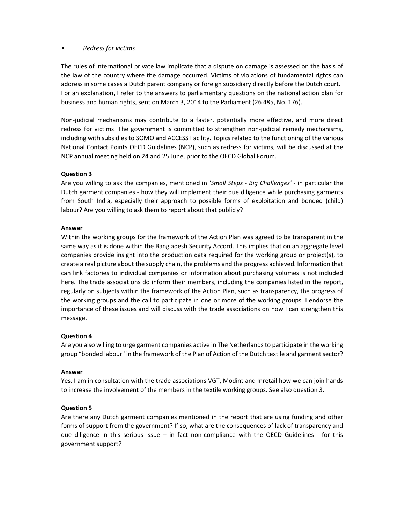# • *Redress for victims*

The rules of international private law implicate that a dispute on damage is assessed on the basis of the law of the country where the damage occurred. Victims of violations of fundamental rights can address in some cases a Dutch parent company or foreign subsidiary directly before the Dutch court. For an explanation, I refer to the answers to parliamentary questions on the national action plan for business and human rights, sent on March 3, 2014 to the Parliament (26 485, No. 176).

Non-judicial mechanisms may contribute to a faster, potentially more effective, and more direct redress for victims. The government is committed to strengthen non-judicial remedy mechanisms, including with subsidies to SOMO and ACCESS Facility. Topics related to the functioning of the various National Contact Points OECD Guidelines (NCP), such as redress for victims, will be discussed at the NCP annual meeting held on 24 and 25 June, prior to the OECD Global Forum.

# **Question 3**

Are you willing to ask the companies, mentioned in *'Small Steps - Big Challenges'* - in particular the Dutch garment companies - how they will implement their due diligence while purchasing garments from South India, especially their approach to possible forms of exploitation and bonded (child) labour? Are you willing to ask them to report about that publicly?

# **Answer**

Within the working groups for the framework of the Action Plan was agreed to be transparent in the same way as it is done within the Bangladesh Security Accord. This implies that on an aggregate level companies provide insight into the production data required for the working group or project(s), to create a real picture about the supply chain, the problems and the progress achieved. Information that can link factories to individual companies or information about purchasing volumes is not included here. The trade associations do inform their members, including the companies listed in the report, regularly on subjects within the framework of the Action Plan, such as transparency, the progress of the working groups and the call to participate in one or more of the working groups. I endorse the importance of these issues and will discuss with the trade associations on how I can strengthen this message.

# **Question 4**

Are you also willing to urge garment companies active in The Netherlands to participate in the working group "bonded labour" in the framework of the Plan of Action of the Dutch textile and garment sector?

## **Answer**

Yes. I am in consultation with the trade associations VGT, Modint and Inretail how we can join hands to increase the involvement of the members in the textile working groups. See also question 3.

## **Question 5**

Are there any Dutch garment companies mentioned in the report that are using funding and other forms of support from the government? If so, what are the consequences of lack of transparency and due diligence in this serious issue – in fact non-compliance with the OECD Guidelines - for this government support?